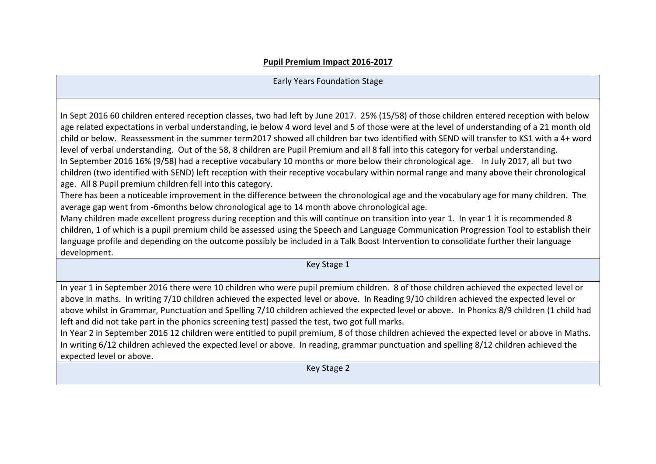## **Pupil Premium Impact 2016-2017**

## Early Years Foundation Stage

In Sept 2016 60 children entered reception classes, two had left by June 2017. 25% (15/58) of those children entered reception with below age related expectations in verbal understanding, ie below 4 word level and 5 of those were at the level of understanding of a 21 month old child or below. Reassessment in the summer term2017 showed all children bar two identified with SEND will transfer to KS1 with a 4+ word level of verbal understanding. Out of the 58, 8 children are Pupil Premium and all 8 fall into this category for verbal understanding. In September 2016 16% (9/58) had a receptive vocabulary 10 months or more below their chronological age. In July 2017, all but two children (two identified with SEND) left reception with their receptive vocabulary within normal range and many above their chronological age. All 8 Pupil premium children fell into this category.

There has been a noticeable improvement in the difference between the chronological age and the vocabulary age for many children. The average gap went from -6months below chronological age to 14 month above chronological age.

Many children made excellent progress during reception and this will continue on transition into year 1. In year 1 it is recommended 8 children, 1 of which is a pupil premium child be assessed using the Speech and Language Communication Progression Tool to establish their language profile and depending on the outcome possibly be included in a Talk Boost Intervention to consolidate further their language development.

Key Stage 1

In year 1 in September 2016 there were 10 children who were pupil premium children. 8 of those children achieved the expected level or above in maths. In writing 7/10 children achieved the expected level or above. In Reading 9/10 children achieved the expected level or above whilst in Grammar, Punctuation and Spelling 7/10 children achieved the expected level or above. In Phonics 8/9 children (1 child had left and did not take part in the phonics screening test) passed the test, two got full marks.

In Year 2 in September 2016 12 children were entitled to pupil premium, 8 of those children achieved the expected level or above in Maths. In writing 6/12 children achieved the expected level or above. In reading, grammar punctuation and spelling 8/12 children achieved the expected level or above.

Key Stage 2